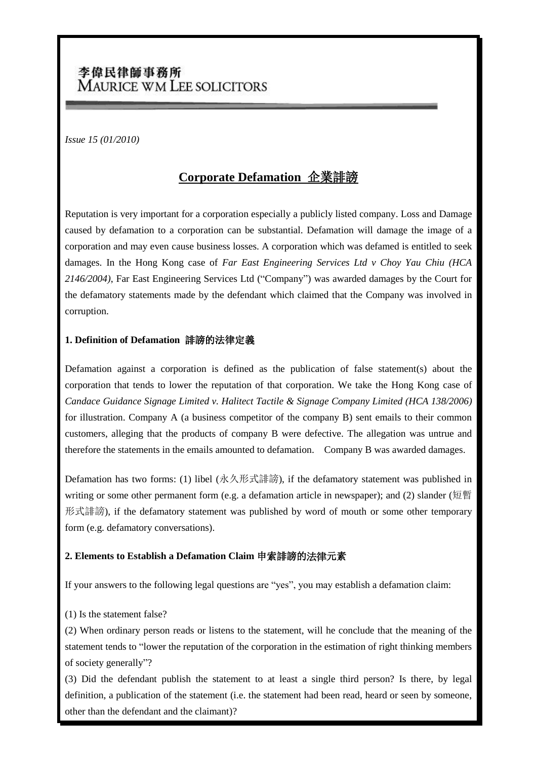# 李偉民律師事務所 MAURICE WM LEE SOLICITORS

*Issue 15 (01/2010)*

## **Corporate Defamation** 企業誹謗

Reputation is very important for a corporation especially a publicly listed company. Loss and Damage caused by defamation to a corporation can be substantial. Defamation will damage the image of a corporation and may even cause business losses. A corporation which was defamed is entitled to seek damages. In the Hong Kong case of *Far East Engineering Services Ltd v Choy Yau Chiu (HCA 2146/2004)*, Far East Engineering Services Ltd ("Company") was awarded damages by the Court for the defamatory statements made by the defendant which claimed that the Company was involved in corruption.

#### **1. Definition of Defamation** 誹謗的法律定義

Defamation against a corporation is defined as the publication of false statement(s) about the corporation that tends to lower the reputation of that corporation. We take the Hong Kong case of *Candace Guidance Signage Limited v. Halitect Tactile & Signage Company Limited (HCA 138/2006)* for illustration. Company A (a business competitor of the company B) sent emails to their common customers, alleging that the products of company B were defective. The allegation was untrue and therefore the statements in the emails amounted to defamation. Company B was awarded damages.

Defamation has two forms: (1) libel (永久形式誹謗), if the defamatory statement was published in writing or some other permanent form (e.g. a defamation article in newspaper); and (2) slander (短暫 形式誹謗), if the defamatory statement was published by word of mouth or some other temporary form (e.g. defamatory conversations).

### **2. Elements to Establish a Defamation Claim** 申索誹謗的法律元素

If your answers to the following legal questions are "yes", you may establish a defamation claim:

(1) Is the statement false?

(2) When ordinary person reads or listens to the statement, will he conclude that the meaning of the statement tends to "lower the reputation of the corporation in the estimation of right thinking members of society generally"?

(3) Did the defendant publish the statement to at least a single third person? Is there, by legal definition, a publication of the statement (i.e. the statement had been read, heard or seen by someone, other than the defendant and the claimant)?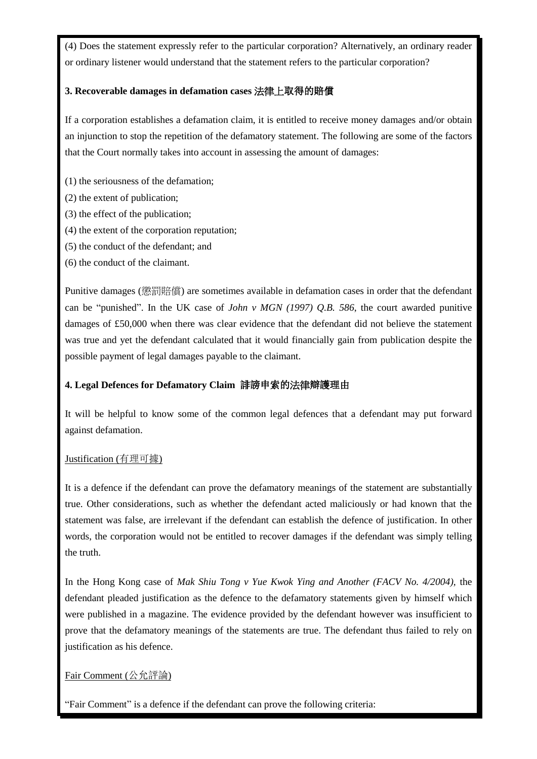(4) Does the statement expressly refer to the particular corporation? Alternatively, an ordinary reader or ordinary listener would understand that the statement refers to the particular corporation?

#### **3. Recoverable damages in defamation cases** 法律上取得的賠償

If a corporation establishes a defamation claim, it is entitled to receive money damages and/or obtain an injunction to stop the repetition of the defamatory statement. The following are some of the factors that the Court normally takes into account in assessing the amount of damages:

(1) the seriousness of the defamation;

(2) the extent of publication;

- (3) the effect of the publication;
- (4) the extent of the corporation reputation;
- (5) the conduct of the defendant; and
- (6) the conduct of the claimant.

Punitive damages (懲罰賠償) are sometimes available in defamation cases in order that the defendant can be "punished". In the UK case of *John v MGN (1997) Q.B. 586*, the court awarded punitive damages of £50,000 when there was clear evidence that the defendant did not believe the statement was true and yet the defendant calculated that it would financially gain from publication despite the possible payment of legal damages payable to the claimant.

### **4. Legal Defences for Defamatory Claim** 誹謗申索的法律辯護理由

It will be helpful to know some of the common legal defences that a defendant may put forward against defamation.

#### Justification (有理可據)

It is a defence if the defendant can prove the defamatory meanings of the statement are substantially true. Other considerations, such as whether the defendant acted maliciously or had known that the statement was false, are irrelevant if the defendant can establish the defence of justification. In other words, the corporation would not be entitled to recover damages if the defendant was simply telling the truth.

In the Hong Kong case of *Mak Shiu Tong v Yue Kwok Ying and Another (FACV No. 4/2004)*, the defendant pleaded justification as the defence to the defamatory statements given by himself which were published in a magazine. The evidence provided by the defendant however was insufficient to prove that the defamatory meanings of the statements are true. The defendant thus failed to rely on justification as his defence.

### Fair Comment (公允評論)

"Fair Comment" is a defence if the defendant can prove the following criteria: